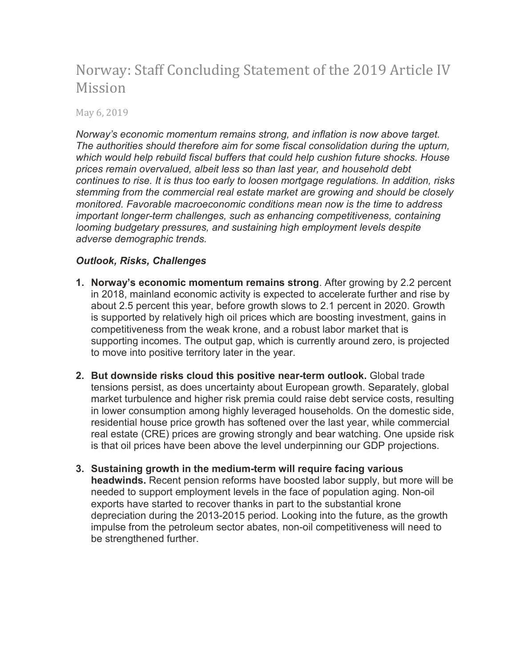# Norway: Staff Concluding Statement of the 2019 Article IV Mission

May 6, 2019

*Norway's economic momentum remains strong, and inflation is now above target. The authorities should therefore aim for some fiscal consolidation during the upturn, which would help rebuild fiscal buffers that could help cushion future shocks. House prices remain overvalued, albeit less so than last year, and household debt continues to rise. It is thus too early to loosen mortgage regulations. In addition, risks stemming from the commercial real estate market are growing and should be closely monitored. Favorable macroeconomic conditions mean now is the time to address important longer-term challenges, such as enhancing competitiveness, containing looming budgetary pressures, and sustaining high employment levels despite adverse demographic trends.*

## *Outlook, Risks, Challenges*

- **1. Norway's economic momentum remains strong**. After growing by 2.2 percent in 2018, mainland economic activity is expected to accelerate further and rise by about 2.5 percent this year, before growth slows to 2.1 percent in 2020. Growth is supported by relatively high oil prices which are boosting investment, gains in competitiveness from the weak krone, and a robust labor market that is supporting incomes. The output gap, which is currently around zero, is projected to move into positive territory later in the year.
- **2. But downside risks cloud this positive near-term outlook.** Global trade tensions persist, as does uncertainty about European growth. Separately, global market turbulence and higher risk premia could raise debt service costs, resulting in lower consumption among highly leveraged households. On the domestic side, residential house price growth has softened over the last year, while commercial real estate (CRE) prices are growing strongly and bear watching. One upside risk is that oil prices have been above the level underpinning our GDP projections.
- **3. Sustaining growth in the medium-term will require facing various headwinds.** Recent pension reforms have boosted labor supply, but more will be needed to support employment levels in the face of population aging. Non-oil exports have started to recover thanks in part to the substantial krone depreciation during the 2013-2015 period. Looking into the future, as the growth impulse from the petroleum sector abates, non-oil competitiveness will need to be strengthened further.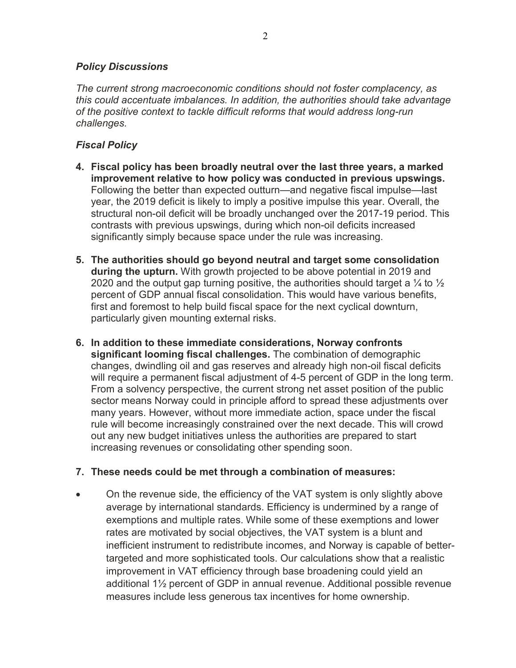## *Policy Discussions*

*The current strong macroeconomic conditions should not foster complacency, as this could accentuate imbalances. In addition, the authorities should take advantage of the positive context to tackle difficult reforms that would address long-run challenges.* 

# *Fiscal Policy*

- **4. Fiscal policy has been broadly neutral over the last three years, a marked improvement relative to how policy was conducted in previous upswings.** Following the better than expected outturn—and negative fiscal impulse—last year, the 2019 deficit is likely to imply a positive impulse this year. Overall, the structural non-oil deficit will be broadly unchanged over the 2017-19 period. This contrasts with previous upswings, during which non-oil deficits increased significantly simply because space under the rule was increasing.
- **5. The authorities should go beyond neutral and target some consolidation during the upturn.** With growth projected to be above potential in 2019 and 2020 and the output gap turning positive, the authorities should target a  $\frac{1}{4}$  to  $\frac{1}{2}$ percent of GDP annual fiscal consolidation. This would have various benefits, first and foremost to help build fiscal space for the next cyclical downturn, particularly given mounting external risks.
- **6. In addition to these immediate considerations, Norway confronts significant looming fiscal challenges.** The combination of demographic changes, dwindling oil and gas reserves and already high non-oil fiscal deficits will require a permanent fiscal adjustment of 4-5 percent of GDP in the long term. From a solvency perspective, the current strong net asset position of the public sector means Norway could in principle afford to spread these adjustments over many years. However, without more immediate action, space under the fiscal rule will become increasingly constrained over the next decade. This will crowd out any new budget initiatives unless the authorities are prepared to start increasing revenues or consolidating other spending soon.

#### **7. These needs could be met through a combination of measures:**

• On the revenue side, the efficiency of the VAT system is only slightly above average by international standards. Efficiency is undermined by a range of exemptions and multiple rates. While some of these exemptions and lower rates are motivated by social objectives, the VAT system is a blunt and inefficient instrument to redistribute incomes, and Norway is capable of bettertargeted and more sophisticated tools. Our calculations show that a realistic improvement in VAT efficiency through base broadening could yield an additional 1½ percent of GDP in annual revenue. Additional possible revenue measures include less generous tax incentives for home ownership.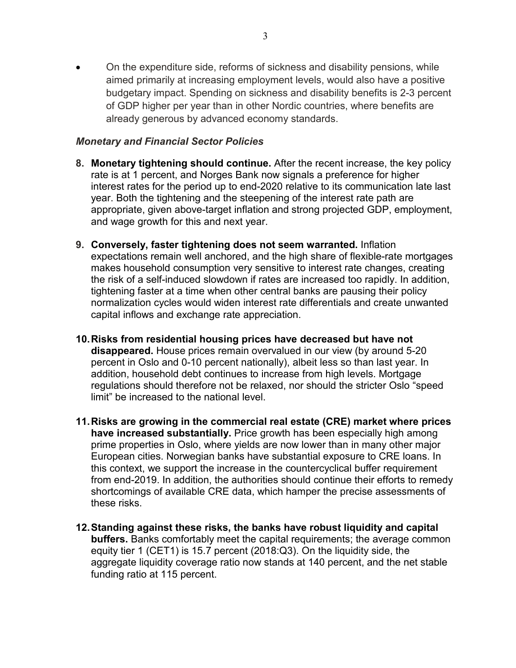• On the expenditure side, reforms of sickness and disability pensions, while aimed primarily at increasing employment levels, would also have a positive budgetary impact. Spending on sickness and disability benefits is 2-3 percent of GDP higher per year than in other Nordic countries, where benefits are already generous by advanced economy standards.

#### *Monetary and Financial Sector Policies*

- **8. Monetary tightening should continue.** After the recent increase, the key policy rate is at 1 percent, and Norges Bank now signals a preference for higher interest rates for the period up to end-2020 relative to its communication late last year. Both the tightening and the steepening of the interest rate path are appropriate, given above-target inflation and strong projected GDP, employment, and wage growth for this and next year.
- **9. Conversely, faster tightening does not seem warranted.** Inflation expectations remain well anchored, and the high share of flexible-rate mortgages makes household consumption very sensitive to interest rate changes, creating the risk of a self-induced slowdown if rates are increased too rapidly. In addition, tightening faster at a time when other central banks are pausing their policy normalization cycles would widen interest rate differentials and create unwanted capital inflows and exchange rate appreciation.
- **10.Risks from residential housing prices have decreased but have not disappeared.** House prices remain overvalued in our view (by around 5-20 percent in Oslo and 0-10 percent nationally), albeit less so than last year. In addition, household debt continues to increase from high levels. Mortgage regulations should therefore not be relaxed, nor should the stricter Oslo "speed limit" be increased to the national level.
- **11.Risks are growing in the commercial real estate (CRE) market where prices have increased substantially.** Price growth has been especially high among prime properties in Oslo, where yields are now lower than in many other major European cities. Norwegian banks have substantial exposure to CRE loans. In this context, we support the increase in the countercyclical buffer requirement from end-2019. In addition, the authorities should continue their efforts to remedy shortcomings of available CRE data, which hamper the precise assessments of these risks.
- **12.Standing against these risks, the banks have robust liquidity and capital buffers.** Banks comfortably meet the capital requirements; the average common equity tier 1 (CET1) is 15.7 percent (2018:Q3). On the liquidity side, the aggregate liquidity coverage ratio now stands at 140 percent, and the net stable funding ratio at 115 percent.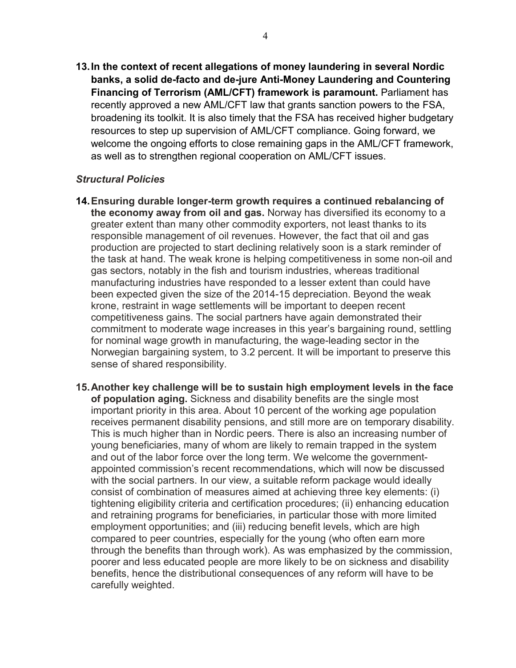**13.In the context of recent allegations of money laundering in several Nordic banks, a solid de-facto and de-jure Anti-Money Laundering and Countering Financing of Terrorism (AML/CFT) framework is paramount.** Parliament has recently approved a new AML/CFT law that grants sanction powers to the FSA, broadening its toolkit. It is also timely that the FSA has received higher budgetary resources to step up supervision of AML/CFT compliance. Going forward, we welcome the ongoing efforts to close remaining gaps in the AML/CFT framework, as well as to strengthen regional cooperation on AML/CFT issues.

## *Structural Policies*

- **14.Ensuring durable longer-term growth requires a continued rebalancing of the economy away from oil and gas.** Norway has diversified its economy to a greater extent than many other commodity exporters, not least thanks to its responsible management of oil revenues. However, the fact that oil and gas production are projected to start declining relatively soon is a stark reminder of the task at hand. The weak krone is helping competitiveness in some non-oil and gas sectors, notably in the fish and tourism industries, whereas traditional manufacturing industries have responded to a lesser extent than could have been expected given the size of the 2014-15 depreciation. Beyond the weak krone, restraint in wage settlements will be important to deepen recent competitiveness gains. The social partners have again demonstrated their commitment to moderate wage increases in this year's bargaining round, settling for nominal wage growth in manufacturing, the wage-leading sector in the Norwegian bargaining system, to 3.2 percent. It will be important to preserve this sense of shared responsibility.
- **15.Another key challenge will be to sustain high employment levels in the face of population aging.** Sickness and disability benefits are the single most important priority in this area. About 10 percent of the working age population receives permanent disability pensions, and still more are on temporary disability. This is much higher than in Nordic peers. There is also an increasing number of young beneficiaries, many of whom are likely to remain trapped in the system and out of the labor force over the long term. We welcome the governmentappointed commission's recent recommendations, which will now be discussed with the social partners. In our view, a suitable reform package would ideally consist of combination of measures aimed at achieving three key elements: (i) tightening eligibility criteria and certification procedures; (ii) enhancing education and retraining programs for beneficiaries, in particular those with more limited employment opportunities; and (iii) reducing benefit levels, which are high compared to peer countries, especially for the young (who often earn more through the benefits than through work). As was emphasized by the commission, poorer and less educated people are more likely to be on sickness and disability benefits, hence the distributional consequences of any reform will have to be carefully weighted.